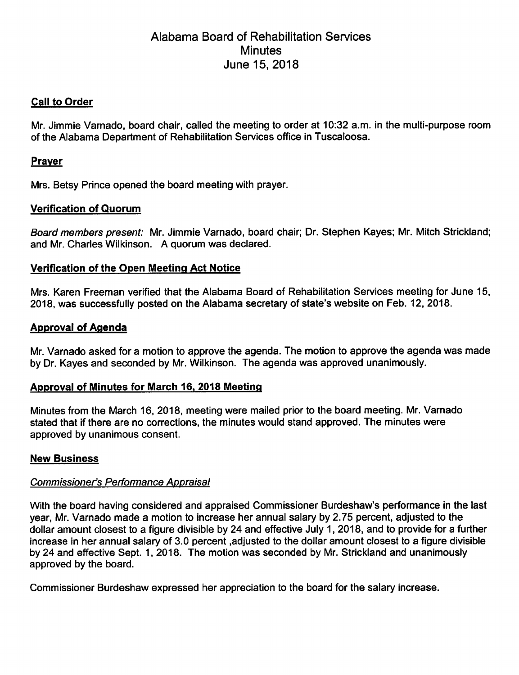# Alabama Board of Rehabilitation Services Minutes June 15, 2018

# Call to Order

Mr. Jimmie Varnado, board chair, called the meeting to order at 10:32 a.m. in the multi-purpose room of the Alabama Department of Rehabilitation Services office in Tuscaloosa.

# Praver

Mrs. Betsy Prince opened the board meeting with prayer.

#### Verification of Quorum

Board members present: Mr. Jimmie Varnado, board chair; Dr. Stephen Kayes; Mr. Mitch Strickland; and Mr. Charles Wilkinson. A quorum was declared.

# Verification of the Open Meeting Act Notice

Mrs. Karen Freeman verified that the Alabama Board of Rehabilitation Services meeting for June 15, 2018, was successfully posted on the Alabama secretary of state's website on Feb. 12, 2018.

# Approval of Agenda

Mr. Varnado asked for a motion to approve the agenda. The motion to approve the agenda was made by Dr. Kayes and seconded by Mr. Wilkinson. The agenda was approved unanimously.

#### Approval of Minutes for March 16. 2018 Meeting

Minutes from the March 16, 2018, meeting were maiied prior to the board meeting. Mr. Varnado stated that if there are no corrections, the minutes would stand approved. The minutes were approved by unanimous consent.

#### New Business

#### Commissioner's Performance Appraisal

With the board having considered and appraised Commissioner Burdeshaw's performance in the last year, Mr. Varnado made a motion to increase her annuai saiary by 2.75 percent, adjusted to the dollar amount closest to a figure divisible by 24 and effective July 1, 2018, and to provide for a further increase in her annual saiary of 3.0 percent .adjusted to the dollar amount closest to a figure divisible by 24 and effective Sept. 1, 2018. The motion was seconded by Mr. Strickiand and unanimously approved by the board.

Commissioner Burdeshaw expressed her appreciation to the board for the saiary increase.